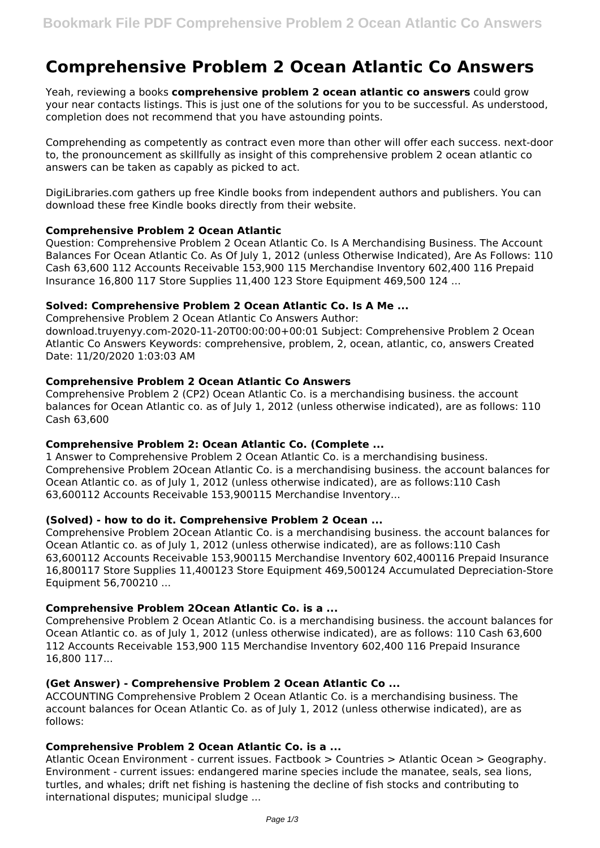# **Comprehensive Problem 2 Ocean Atlantic Co Answers**

Yeah, reviewing a books **comprehensive problem 2 ocean atlantic co answers** could grow your near contacts listings. This is just one of the solutions for you to be successful. As understood, completion does not recommend that you have astounding points.

Comprehending as competently as contract even more than other will offer each success. next-door to, the pronouncement as skillfully as insight of this comprehensive problem 2 ocean atlantic co answers can be taken as capably as picked to act.

DigiLibraries.com gathers up free Kindle books from independent authors and publishers. You can download these free Kindle books directly from their website.

# **Comprehensive Problem 2 Ocean Atlantic**

Question: Comprehensive Problem 2 Ocean Atlantic Co. Is A Merchandising Business. The Account Balances For Ocean Atlantic Co. As Of July 1, 2012 (unless Otherwise Indicated), Are As Follows: 110 Cash 63,600 112 Accounts Receivable 153,900 115 Merchandise Inventory 602,400 116 Prepaid Insurance 16,800 117 Store Supplies 11,400 123 Store Equipment 469,500 124 ...

## **Solved: Comprehensive Problem 2 Ocean Atlantic Co. Is A Me ...**

Comprehensive Problem 2 Ocean Atlantic Co Answers Author: download.truyenyy.com-2020-11-20T00:00:00+00:01 Subject: Comprehensive Problem 2 Ocean Atlantic Co Answers Keywords: comprehensive, problem, 2, ocean, atlantic, co, answers Created Date: 11/20/2020 1:03:03 AM

## **Comprehensive Problem 2 Ocean Atlantic Co Answers**

Comprehensive Problem 2 (CP2) Ocean Atlantic Co. is a merchandising business. the account balances for Ocean Atlantic co. as of July 1, 2012 (unless otherwise indicated), are as follows: 110 Cash 63,600

# **Comprehensive Problem 2: Ocean Atlantic Co. (Complete ...**

1 Answer to Comprehensive Problem 2 Ocean Atlantic Co. is a merchandising business. Comprehensive Problem 2Ocean Atlantic Co. is a merchandising business. the account balances for Ocean Atlantic co. as of July 1, 2012 (unless otherwise indicated), are as follows:110 Cash 63,600112 Accounts Receivable 153,900115 Merchandise Inventory...

#### **(Solved) - how to do it. Comprehensive Problem 2 Ocean ...**

Comprehensive Problem 2Ocean Atlantic Co. is a merchandising business. the account balances for Ocean Atlantic co. as of July 1, 2012 (unless otherwise indicated), are as follows:110 Cash 63,600112 Accounts Receivable 153,900115 Merchandise Inventory 602,400116 Prepaid Insurance 16,800117 Store Supplies 11,400123 Store Equipment 469,500124 Accumulated Depreciation-Store Equipment 56,700210 ...

# **Comprehensive Problem 2Ocean Atlantic Co. is a ...**

Comprehensive Problem 2 Ocean Atlantic Co. is a merchandising business. the account balances for Ocean Atlantic co. as of July 1, 2012 (unless otherwise indicated), are as follows: 110 Cash 63,600 112 Accounts Receivable 153,900 115 Merchandise Inventory 602,400 116 Prepaid Insurance 16,800 117...

#### **(Get Answer) - Comprehensive Problem 2 Ocean Atlantic Co ...**

ACCOUNTING Comprehensive Problem 2 Ocean Atlantic Co. is a merchandising business. The account balances for Ocean Atlantic Co. as of July 1, 2012 (unless otherwise indicated), are as follows:

## **Comprehensive Problem 2 Ocean Atlantic Co. is a ...**

Atlantic Ocean Environment - current issues. Factbook > Countries > Atlantic Ocean > Geography. Environment - current issues: endangered marine species include the manatee, seals, sea lions, turtles, and whales; drift net fishing is hastening the decline of fish stocks and contributing to international disputes; municipal sludge ...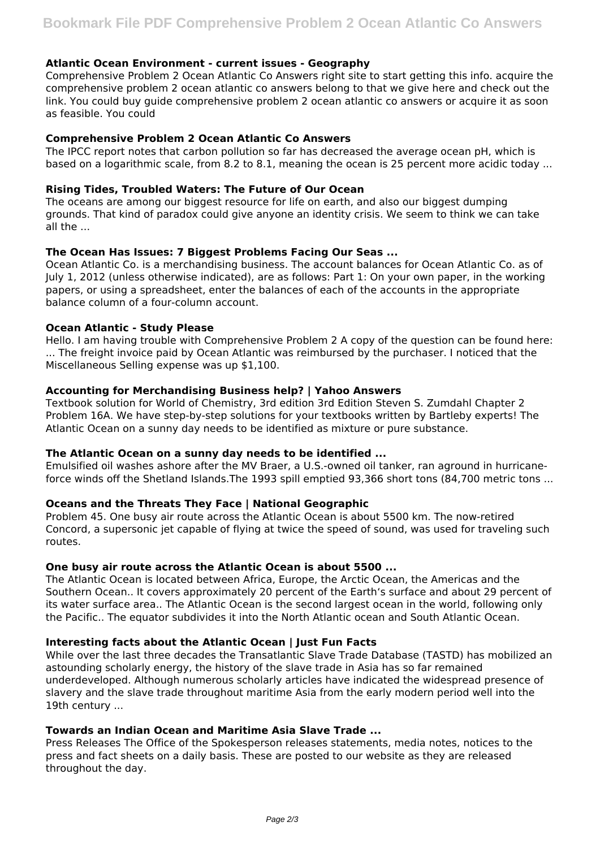## **Atlantic Ocean Environment - current issues - Geography**

Comprehensive Problem 2 Ocean Atlantic Co Answers right site to start getting this info. acquire the comprehensive problem 2 ocean atlantic co answers belong to that we give here and check out the link. You could buy guide comprehensive problem 2 ocean atlantic co answers or acquire it as soon as feasible. You could

### **Comprehensive Problem 2 Ocean Atlantic Co Answers**

The IPCC report notes that carbon pollution so far has decreased the average ocean pH, which is based on a logarithmic scale, from 8.2 to 8.1, meaning the ocean is 25 percent more acidic today ...

### **Rising Tides, Troubled Waters: The Future of Our Ocean**

The oceans are among our biggest resource for life on earth, and also our biggest dumping grounds. That kind of paradox could give anyone an identity crisis. We seem to think we can take all the ...

## **The Ocean Has Issues: 7 Biggest Problems Facing Our Seas ...**

Ocean Atlantic Co. is a merchandising business. The account balances for Ocean Atlantic Co. as of July 1, 2012 (unless otherwise indicated), are as follows: Part 1: On your own paper, in the working papers, or using a spreadsheet, enter the balances of each of the accounts in the appropriate balance column of a four-column account.

#### **Ocean Atlantic - Study Please**

Hello. I am having trouble with Comprehensive Problem 2 A copy of the question can be found here: ... The freight invoice paid by Ocean Atlantic was reimbursed by the purchaser. I noticed that the Miscellaneous Selling expense was up \$1,100.

## **Accounting for Merchandising Business help? | Yahoo Answers**

Textbook solution for World of Chemistry, 3rd edition 3rd Edition Steven S. Zumdahl Chapter 2 Problem 16A. We have step-by-step solutions for your textbooks written by Bartleby experts! The Atlantic Ocean on a sunny day needs to be identified as mixture or pure substance.

#### **The Atlantic Ocean on a sunny day needs to be identified ...**

Emulsified oil washes ashore after the MV Braer, a U.S.-owned oil tanker, ran aground in hurricaneforce winds off the Shetland Islands.The 1993 spill emptied 93,366 short tons (84,700 metric tons ...

# **Oceans and the Threats They Face | National Geographic**

Problem 45. One busy air route across the Atlantic Ocean is about 5500 km. The now-retired Concord, a supersonic jet capable of flying at twice the speed of sound, was used for traveling such routes.

# **One busy air route across the Atlantic Ocean is about 5500 ...**

The Atlantic Ocean is located between Africa, Europe, the Arctic Ocean, the Americas and the Southern Ocean.. It covers approximately 20 percent of the Earth's surface and about 29 percent of its water surface area.. The Atlantic Ocean is the second largest ocean in the world, following only the Pacific.. The equator subdivides it into the North Atlantic ocean and South Atlantic Ocean.

## **Interesting facts about the Atlantic Ocean | Just Fun Facts**

While over the last three decades the Transatlantic Slave Trade Database (TASTD) has mobilized an astounding scholarly energy, the history of the slave trade in Asia has so far remained underdeveloped. Although numerous scholarly articles have indicated the widespread presence of slavery and the slave trade throughout maritime Asia from the early modern period well into the 19th century ...

# **Towards an Indian Ocean and Maritime Asia Slave Trade ...**

Press Releases The Office of the Spokesperson releases statements, media notes, notices to the press and fact sheets on a daily basis. These are posted to our website as they are released throughout the day.